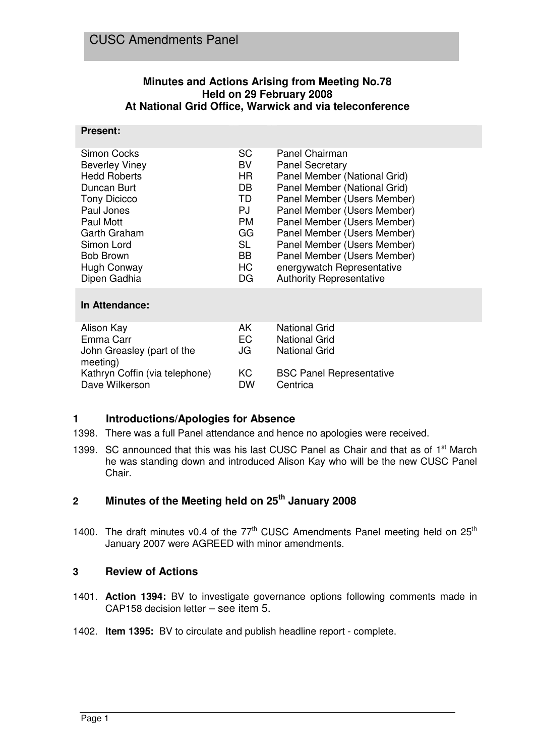# **Minutes and Actions Arising from Meeting No.78 Held on 29 February 2008 At National Grid Office, Warwick and via teleconference**

#### **Present:**

| Simon Cocks<br><b>Beverley Viney</b><br><b>Hedd Roberts</b><br>Duncan Burt<br><b>Tony Dicicco</b><br>Paul Jones<br><b>Paul Mott</b><br>Garth Graham<br>Simon Lord<br><b>Bob Brown</b><br>Hugh Conway<br>Dipen Gadhia | <b>SC</b><br><b>BV</b><br>HR.<br>DB.<br><b>TD</b><br><b>PJ</b><br><b>PM</b><br>GG<br><b>SL</b><br>BB<br>HC<br>DG. | Panel Chairman<br><b>Panel Secretary</b><br>Panel Member (National Grid)<br>Panel Member (National Grid)<br>Panel Member (Users Member)<br>Panel Member (Users Member)<br>Panel Member (Users Member)<br>Panel Member (Users Member)<br>Panel Member (Users Member)<br>Panel Member (Users Member)<br>energywatch Representative<br><b>Authority Representative</b> |
|----------------------------------------------------------------------------------------------------------------------------------------------------------------------------------------------------------------------|-------------------------------------------------------------------------------------------------------------------|---------------------------------------------------------------------------------------------------------------------------------------------------------------------------------------------------------------------------------------------------------------------------------------------------------------------------------------------------------------------|
| In Attendance:                                                                                                                                                                                                       |                                                                                                                   |                                                                                                                                                                                                                                                                                                                                                                     |
| Alison Kay<br>Emma Carr<br>John Greasley (part of the<br>$m$ aating)                                                                                                                                                 | AK.<br><b>EC</b><br>JG                                                                                            | National Grid<br><b>National Grid</b><br>National Grid                                                                                                                                                                                                                                                                                                              |

| <br>Kathryn Coffin (via telephone)<br>Dave Wilkerson | КC<br>DW | <b>BSC Panel Representative</b><br>Centrica |
|------------------------------------------------------|----------|---------------------------------------------|
|                                                      |          |                                             |

# **1 Introductions/Apologies for Absence**

- 1398. There was a full Panel attendance and hence no apologies were received.
- 1399. SC announced that this was his last CUSC Panel as Chair and that as of 1<sup>st</sup> March he was standing down and introduced Alison Kay who will be the new CUSC Panel Chair.

# **2 Minutes of the Meeting held on 25th January 2008**

1400. The draft minutes v0.4 of the  $77<sup>th</sup>$  CUSC Amendments Panel meeting held on  $25<sup>th</sup>$ January 2007 were AGREED with minor amendments.

#### **3 Review of Actions**

- 1401. **Action 1394:** BV to investigate governance options following comments made in CAP158 decision letter – see item 5.
- 1402. **Item 1395:** BV to circulate and publish headline report complete.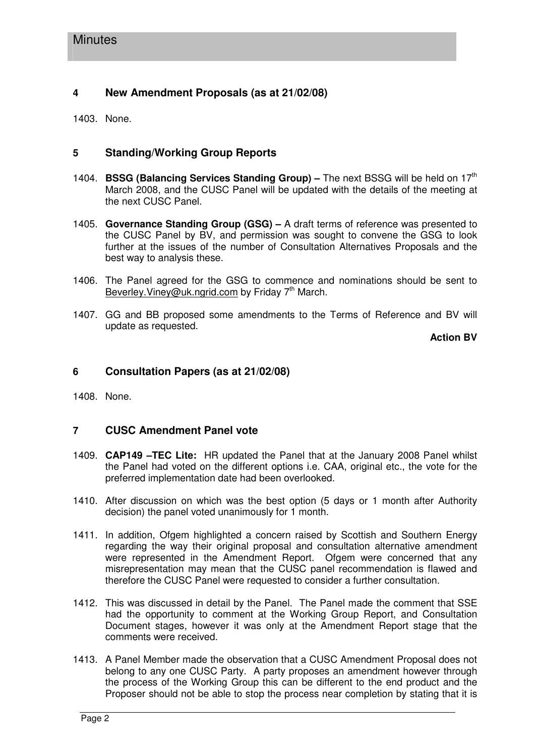# **4 New Amendment Proposals (as at 21/02/08)**

1403. None.

# **5 Standing/Working Group Reports**

- 1404. **BSSG (Balancing Services Standing Group) –** The next BSSG will be held on 17th March 2008, and the CUSC Panel will be updated with the details of the meeting at the next CUSC Panel.
- 1405. **Governance Standing Group (GSG) –** A draft terms of reference was presented to the CUSC Panel by BV, and permission was sought to convene the GSG to look further at the issues of the number of Consultation Alternatives Proposals and the best way to analysis these.
- 1406. The Panel agreed for the GSG to commence and nominations should be sent to Beverley. Viney@uk.ngrid.com by Friday 7<sup>th</sup> March.
- 1407. GG and BB proposed some amendments to the Terms of Reference and BV will update as requested.

**Action BV**

### **6 Consultation Papers (as at 21/02/08)**

1408. None.

# **7 CUSC Amendment Panel vote**

- 1409. **CAP149 –TEC Lite:** HR updated the Panel that at the January 2008 Panel whilst the Panel had voted on the different options i.e. CAA, original etc., the vote for the preferred implementation date had been overlooked.
- 1410. After discussion on which was the best option (5 days or 1 month after Authority decision) the panel voted unanimously for 1 month.
- 1411. In addition, Ofgem highlighted a concern raised by Scottish and Southern Energy regarding the way their original proposal and consultation alternative amendment were represented in the Amendment Report. Ofgem were concerned that any misrepresentation may mean that the CUSC panel recommendation is flawed and therefore the CUSC Panel were requested to consider a further consultation.
- 1412. This was discussed in detail by the Panel. The Panel made the comment that SSE had the opportunity to comment at the Working Group Report, and Consultation Document stages, however it was only at the Amendment Report stage that the comments were received.
- 1413. A Panel Member made the observation that a CUSC Amendment Proposal does not belong to any one CUSC Party. A party proposes an amendment however through the process of the Working Group this can be different to the end product and the Proposer should not be able to stop the process near completion by stating that it is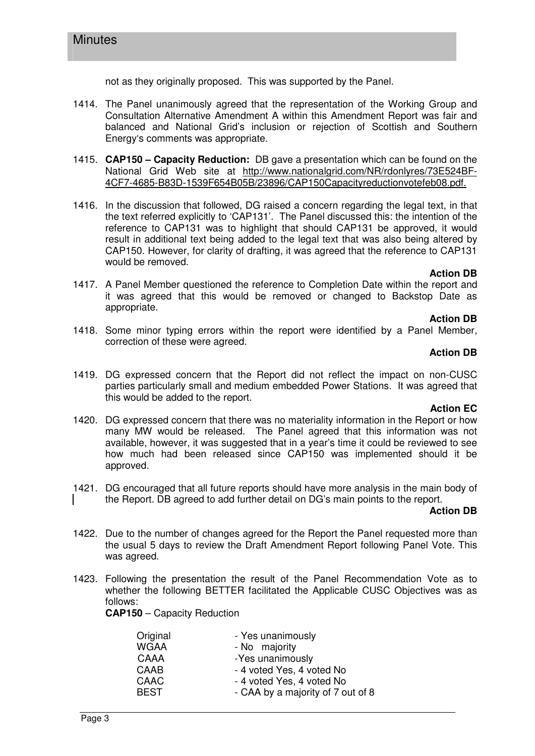not as they originally proposed. This was supported by the Panel.

- 1414. The Panel unanimously agreed that the representation of the Working Group and Consultation Alternative Amendment A within this Amendment Report was fair and balanced and National Grid's inclusion or rejection of Scottish and Southern Energy's comments was appropriate.
- 1415. **CAP150 Capacity Reduction:** DB gave a presentation which can be found on the National Grid Web site at http://www.nationalgrid.com/NR/rdonlyres/73E524BF-4CF7-4685-B83D-1539F654B05B/23896/CAP150Capacityreductionvotefeb08.pdf.
- 1416. In the discussion that followed, DG raised a concern regarding the legal text, in that the text referred explicitly to 'CAP131'. The Panel discussed this: the intention of the reference to CAP131 was to highlight that should CAP131 be approved, it would result in additional text being added to the legal text that was also being altered by CAP150. However, for clarity of drafting, it was agreed that the reference to CAP131 would be removed.

#### **Action DB**

1417. A Panel Member questioned the reference to Completion Date within the report and it was agreed that this would be removed or changed to Backstop Date as appropriate.

#### **Action DB**

1418. Some minor typing errors within the report were identified by a Panel Member, correction of these were agreed.

#### **Action DB**

1419. DG expressed concern that the Report did not reflect the impact on non-CUSC parties particularly small and medium embedded Power Stations. It was agreed that this would be added to the report.

#### **Action EC**

- 1420. DG expressed concern that there was no materiality information in the Report or how many MW would be released. The Panel agreed that this information was not available, however, it was suggested that in a year's time it could be reviewed to see how much had been released since CAP150 was implemented should it be approved.
- 1421. DG encouraged that all future reports should have more analysis in the main body of the Report. DB agreed to add further detail on DG's main points to the report.

#### **Action DB**

- 1422. Due to the number of changes agreed for the Report the Panel requested more than the usual 5 days to review the Draft Amendment Report following Panel Vote. This was agreed.
- 1423. Following the presentation the result of the Panel Recommendation Vote as to whether the following BETTER facilitated the Applicable CUSC Objectives was as follows:

**CAP150** – Capacity Reduction

| - Yes unanimously                 |
|-----------------------------------|
| - No majority                     |
| -Yes unanimously                  |
| - 4 voted Yes, 4 voted No         |
| - 4 voted Yes, 4 voted No         |
| - CAA by a majority of 7 out of 8 |
|                                   |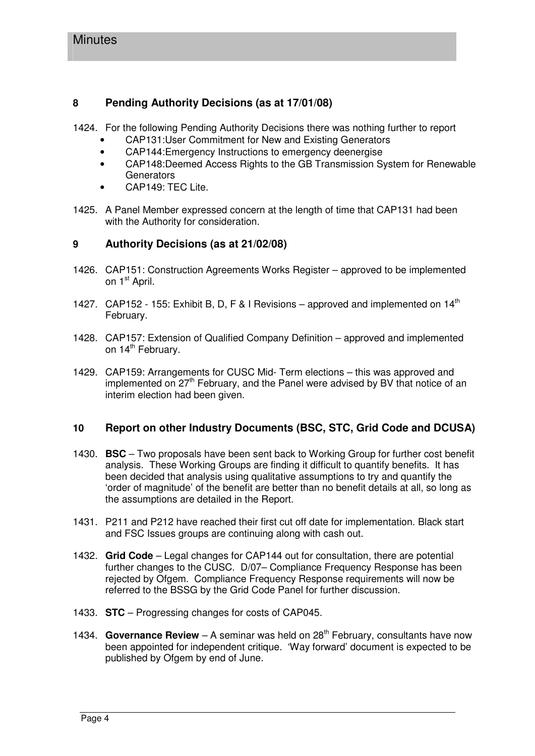# **8 Pending Authority Decisions (as at 17/01/08)**

1424. For the following Pending Authority Decisions there was nothing further to report

- CAP131:User Commitment for New and Existing Generators
- CAP144:Emergency Instructions to emergency deenergise
- CAP148:Deemed Access Rights to the GB Transmission System for Renewable **Generators**
- CAP149: TEC Lite.
- 1425. A Panel Member expressed concern at the length of time that CAP131 had been with the Authority for consideration.

# **9 Authority Decisions (as at 21/02/08)**

- 1426. CAP151: Construction Agreements Works Register approved to be implemented on 1<sup>st</sup> April.
- 1427. CAP152 155: Exhibit B, D, F & I Revisions approved and implemented on  $14<sup>th</sup>$ February.
- 1428. CAP157: Extension of Qualified Company Definition approved and implemented on 14<sup>th</sup> February.
- 1429. CAP159: Arrangements for CUSC Mid- Term elections this was approved and implemented on 27<sup>th</sup> February, and the Panel were advised by BV that notice of an interim election had been given.

# **10 Report on other Industry Documents (BSC, STC, Grid Code and DCUSA)**

- 1430. **BSC** Two proposals have been sent back to Working Group for further cost benefit analysis. These Working Groups are finding it difficult to quantify benefits. It has been decided that analysis using qualitative assumptions to try and quantify the 'order of magnitude' of the benefit are better than no benefit details at all, so long as the assumptions are detailed in the Report.
- 1431. P211 and P212 have reached their first cut off date for implementation. Black start and FSC Issues groups are continuing along with cash out.
- 1432. **Grid Code** Legal changes for CAP144 out for consultation, there are potential further changes to the CUSC. D/07– Compliance Frequency Response has been rejected by Ofgem. Compliance Frequency Response requirements will now be referred to the BSSG by the Grid Code Panel for further discussion.
- 1433. **STC** Progressing changes for costs of CAP045.
- 1434. **Governance Review** A seminar was held on 28<sup>th</sup> February, consultants have now been appointed for independent critique. 'Way forward' document is expected to be published by Ofgem by end of June.